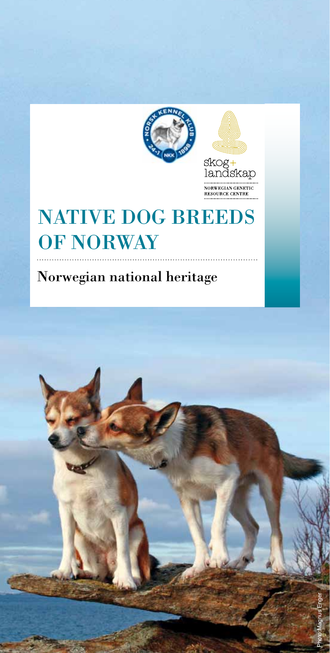



NORWEGIAN GENETIC<br>RESOURCE CENTRE

# NATIVE DOG BREEDS OF NORWAY

Norwegian national heritage

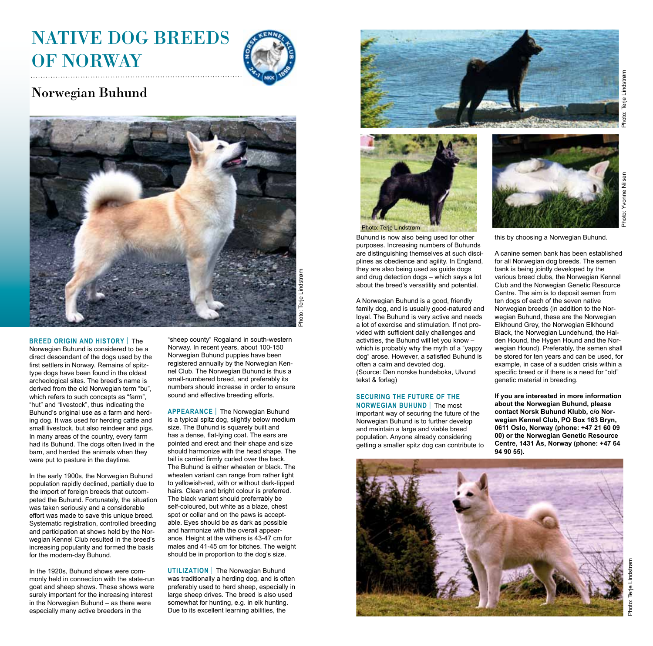

## Norwegian Buhund



Photo: Terje Lindstrøm Terje I ioto:

#### Norwegian Buhund is considered to be a direct descendant of the dogs used by the first settlers in Norway. Remains of spitz-

**BREED ORIGIN AND HISTORy** | The

type dogs have been found in the oldest archeological sites. The breed's name is derived from the old Norwegian term "bu", which refers to such concepts as "farm", "hut" and "livestock", thus indicating the Buhund's original use as a farm and herding dog. It was used for herding cattle and small livestock, but also reindeer and pigs. In many areas of the country, every farm had its Buhund. The dogs often lived in the barn, and herded the animals when they were put to pasture in the daytime.

In the early 1900s, the Norwegian Buhund population rapidly declined, partially due to the import of foreign breeds that outcompeted the Buhund. Fortunately, the situation was taken seriously and a considerable effort was made to save this unique breed. Systematic registration, controlled breeding and participation at shows held by the Norwegian Kennel Club resulted in the breed's increasing popularity and formed the basis for the modern-day Buhund.

In the 1920s, Buhund shows were commonly held in connection with the state-run goat and sheep shows. These shows were surely important for the increasing interest in the Norwegian Buhund – as there were especially many active breeders in the

"sheep county" Rogaland in south-western Norway. In recent years, about 100-150 Norwegian Buhund puppies have been registered annually by the Norwegian Kennel Club. The Norwegian Buhund is thus a small-numbered breed, and preferably its numbers should increase in order to ensure sound and effective breeding efforts.

**APPEARANCE** | The Norwegian Buhund is a typical spitz dog, slightly below medium size. The Buhund is squarely built and has a dense, flat-lying coat. The ears are pointed and erect and their shape and size should harmonize with the head shape. The tail is carried firmly curled over the back. The Buhund is either wheaten or black. The wheaten variant can range from rather light to yellowish-red, with or without dark-tipped hairs. Clean and bright colour is preferred. The black variant should preferrably be self-coloured, but white as a blaze, chest spot or collar and on the paws is acceptable. Eyes should be as dark as possible and harmonize with the overall appearance. Height at the withers is 43-47 cm for males and 41-45 cm for bitches. The weight should be in proportion to the dog's size.

**UTILIZATION** | The Norwegian Buhund was traditionally a herding dog, and is often preferably used to herd sheep, especially in large sheep drives. The breed is also used somewhat for hunting, e.g. in elk hunting. Due to its excellent learning abilities, the





Buhund is now also being used for other purposes. Increasing numbers of Buhunds are distinguishing themselves at such disciplines as obedience and agility. In England, they are also being used as guide dogs and drug detection dogs – which says a lot about the breed's versatility and potential.

A Norwegian Buhund is a good, friendly family dog, and is usually good-natured and loyal. The Buhund is very active and needs a lot of exercise and stimulation. If not provided with sufficient daily challenges and activities, the Buhund will let you know – which is probably why the myth of a "yappy dog" arose. However, a satisfied Buhund is often a calm and devoted dog. (Source: Den norske hundeboka, Ulvund tekst & forlag)

### **Securing the future of the**

**Norwegian Buhund** | The most important way of securing the future of the Norwegian Buhund is to further develop and maintain a large and viable breed population. Anyone already considering getting a smaller spitz dog can contribute to



this by choosing a Norwegian Buhund.

A canine semen bank has been established for all Norwegian dog breeds. The semen bank is being jointly developed by the various breed clubs, the Norwegian Kennel Club and the Norwegian Genetic Resource Centre. The aim is to deposit semen from ten dogs of each of the seven native Norwegian breeds (in addition to the Norwegian Buhund, these are the Norwegian Elkhound Grey, the Norwegian Elkhound Black, the Norwegian Lundehund, the Halden Hound, the Hygen Hound and the Norwegian Hound). Preferably, the semen shall be stored for ten years and can be used, for example, in case of a sudden crisis within a specific breed or if there is a need for "old" genetic material in breeding.

**If you are interested in more information about the Norwegian Buhund, please contact Norsk Buhund Klubb, c/o Norwegian Kennel Club, PO Box 163 Bryn, 0611 Oslo, Norway (phone: +47 21 60 09 00) or the Norwegian Genetic Resource Centre, 1431 Ås, Norway (phone: +47 64 94 90 55).**

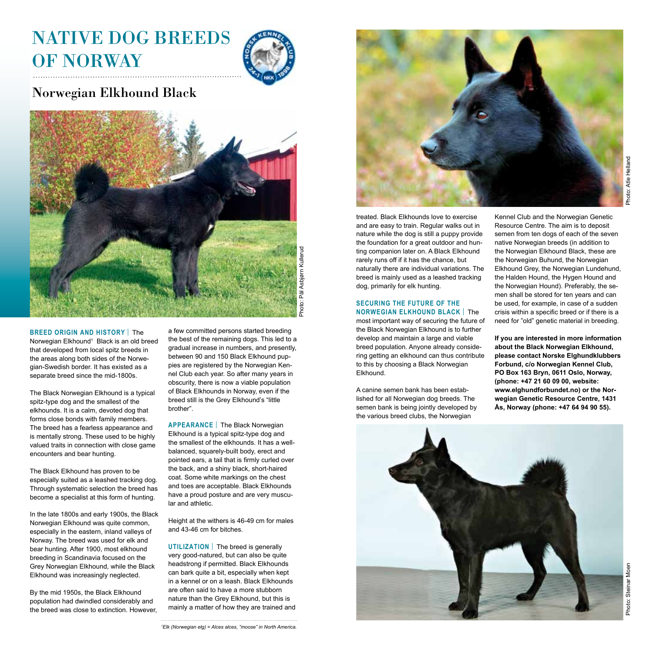

## Norwegian Elkhound Black



**BREED ORIGIN AND HISTORy** | The Norwegian Elkhound<sup>1</sup> Black is an old breed that developed from local spitz breeds in the areas along both sides of the Norwegian-Swedish border. It has existed as a separate breed since the mid-1800s.

The Black Norwegian Elkhound is a typical spitz-type dog and the smallest of the elkhounds. It is a calm, devoted dog that forms close bonds with family members. The breed has a fearless appearance and is mentally strong. These used to be highly valued traits in connection with close game encounters and bear hunting.

The Black Elkhound has proven to be especially suited as a leashed tracking dog. Through systematic selection the breed has become a specialist at this form of hunting.

In the late 1800s and early 1900s, the Black Norwegian Elkhound was quite common, especially in the eastern, inland valleys of Norway. The breed was used for elk and bear hunting. After 1900, most elkhound breeding in Scandinavia focused on the Grey Norwegian Elkhound, while the Black Elkhound was increasingly neglected.

By the mid 1950s, the Black Elkhound population had dwindled considerably and the breed was close to extinction. However, a few committed persons started breeding the best of the remaining dogs. This led to a gradual increase in numbers, and presently, between 90 and 150 Black Elkhound puppies are registered by the Norwegian Kennel Club each year. So after many years in obscurity, there is now a viable population of Black Elkhounds in Norway, even if the breed still is the Grey Elkhound's "little brother".

**APPEARANCE** | The Black Norwegian Elkhound is a typical spitz-type dog and the smallest of the elkhounds. It has a wellbalanced, squarely-built body, erect and pointed ears, a tail that is firmly curled over the back, and a shiny black, short-haired coat. Some white markings on the chest and toes are acceptable. Black Elkhounds have a proud posture and are very muscular and athletic.

Height at the withers is 46-49 cm for males and 43-46 cm for bitches.

**UTILIZATION** | The breed is generally very good-natured, but can also be quite headstrong if permitted. Black Elkhounds can bark quite a bit, especially when kept in a kennel or on a leash. Black Elkhounds are often said to have a more stubborn nature than the Grey Elkhound, but this is mainly a matter of how they are trained and



treated. Black Elkhounds love to exercise and are easy to train. Regular walks out in nature while the dog is still a puppy provide the foundation for a great outdoor and hunting companion later on. A Black Elkhound rarely runs off if it has the chance, but naturally there are individual variations. The breed is mainly used as a leashed tracking dog, primarily for elk hunting.

#### **Securing the future of the NORWEGIAN ELKHOUND BLACK | The**

most important way of securing the future of the Black Norwegian Elkhound is to further develop and maintain a large and viable breed population. Anyone already considering getting an elkhound can thus contribute to this by choosing a Black Norwegian Elkhound.

A canine semen bank has been established for all Norwegian dog breeds. The semen bank is being jointly developed by the various breed clubs, the Norwegian

Kennel Club and the Norwegian Genetic Resource Centre. The aim is to deposit semen from ten dogs of each of the seven native Norwegian breeds (in addition to the Norwegian Elkhound Black, these are the Norwegian Buhund, the Norwegian Elkhound Grey, the Norwegian Lundehund, the Halden Hound, the Hygen Hound and the Norwegian Hound). Preferably, the semen shall be stored for ten years and can be used, for example, in case of a sudden crisis within a specific breed or if there is a need for "old" genetic material in breeding.

**If you are interested in more information about the Black Norwegian Elkhound, please contact Norske Elghundklubbers Forbund, c/o Norwegian Kennel Club, PO Box 163 Bryn, 0611 Oslo, Norway, (phone: +47 21 60 09 00, website: www.elghundforbundet.no) or the Norwegian Genetic Resource Centre, 1431 Ås, Norway (phone: +47 64 94 90 55).**

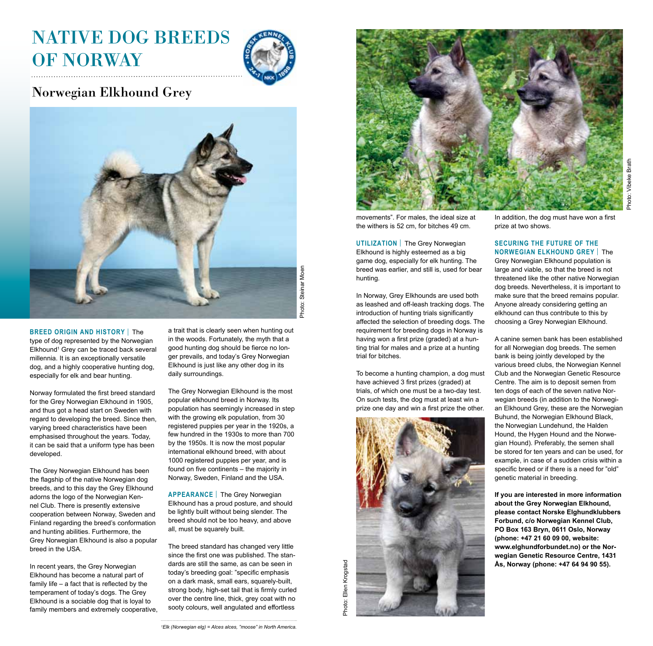

## Norwegian Elkhound Grey



Steinar Moen Photo: Steinar Moen Photo:

#### **BREED ORIGIN AND HISTORy** | The type of dog represented by the Norwegian Elkhound1 Grey can be traced back several millennia. It is an exceptionally versatile dog, and a highly cooperative hunting dog, especially for elk and bear hunting.

Norway formulated the first breed standard for the Grey Norwegian Elkhound in 1905, and thus got a head start on Sweden with regard to developing the breed. Since then, varying breed characteristics have been emphasised throughout the years. Today, it can be said that a uniform type has been developed.

The Grey Norwegian Elkhound has been the flagship of the native Norwegian dog breeds, and to this day the Grey Elkhound adorns the logo of the Norwegian Kennel Club. There is presently extensive cooperation between Norway, Sweden and Finland regarding the breed's conformation and hunting abilities. Furthermore, the Grey Norwegian Elkhound is also a popular breed in the USA.

In recent years, the Grey Norwegian Elkhound has become a natural part of family life – a fact that is reflected by the temperament of today's dogs. The Grey Elkhound is a sociable dog that is loyal to family members and extremely cooperative, a trait that is clearly seen when hunting out in the woods. Fortunately, the myth that a good hunting dog should be fierce no longer prevails, and today's Grey Norwegian Elkhound is just like any other dog in its daily surroundings.

The Grey Norwegian Elkhound is the most popular elkhound breed in Norway. Its population has seemingly increased in step with the growing elk population, from 30 registered puppies per year in the 1920s, a few hundred in the 1930s to more than 700 by the 1950s. It is now the most popular international elkhound breed, with about 1000 registered puppies per year, and is found on five continents – the majority in Norway, Sweden, Finland and the USA.

**APPEARANCE** | The Grey Norwegian Elkhound has a proud posture, and should be lightly built without being slender. The breed should not be too heavy, and above all, must be squarely built.

The breed standard has changed very little since the first one was published. The standards are still the same, as can be seen in today's breeding goal: "specific emphasis on a dark mask, small ears, squarely-built, strong body, high-set tail that is firmly curled over the centre line, thick, grey coat with no sooty colours, well angulated and effortless



movements". For males, the ideal size at the withers is 52 cm, for bitches 49 cm.

**UTILIZATION** | The Grey Norwegian Elkhound is highly esteemed as a big game dog, especially for elk hunting. The breed was earlier, and still is, used for bear hunting.

In Norway, Grey Elkhounds are used both as leashed and off-leash tracking dogs. The introduction of hunting trials significantly affected the selection of breeding dogs. The requirement for breeding dogs in Norway is having won a first prize (graded) at a hunting trial for males and a prize at a hunting trial for bitches.

To become a hunting champion, a dog must have achieved 3 first prizes (graded) at trials, of which one must be a two-day test. On such tests, the dog must at least win a prize one day and win a first prize the other.



In addition, the dog must have won a first prize at two shows.

### **Securing the future of the**

**NORWEGIAN ELKHOUND GREY | The** Grey Norwegian Elkhound population is large and viable, so that the breed is not threatened like the other native Norwegian dog breeds. Nevertheless, it is important to make sure that the breed remains popular. Anyone already considering getting an elkhound can thus contribute to this by choosing a Grey Norwegian Elkhound.

A canine semen bank has been established for all Norwegian dog breeds. The semen bank is being jointly developed by the various breed clubs, the Norwegian Kennel Club and the Norwegian Genetic Resource Centre. The aim is to deposit semen from ten dogs of each of the seven native Norwegian breeds (in addition to the Norwegian Elkhound Grey, these are the Norwegian Buhund, the Norwegian Elkhound Black, the Norwegian Lundehund, the Halden Hound, the Hygen Hound and the Norwegian Hound). Preferably, the semen shall be stored for ten years and can be used, for example, in case of a sudden crisis within a specific breed or if there is a need for "old" genetic material in breeding.

**If you are interested in more information about the Grey Norwegian Elkhound, please contact Norske Elghundklubbers Forbund, c/o Norwegian Kennel Club, PO Box 163 Bryn, 0611 Oslo, Norway (phone: +47 21 60 09 00, website: www.elghundforbundet.no) or the Norwegian Genetic Resource Centre, 1431 Ås, Norway (phone: +47 64 94 90 55).**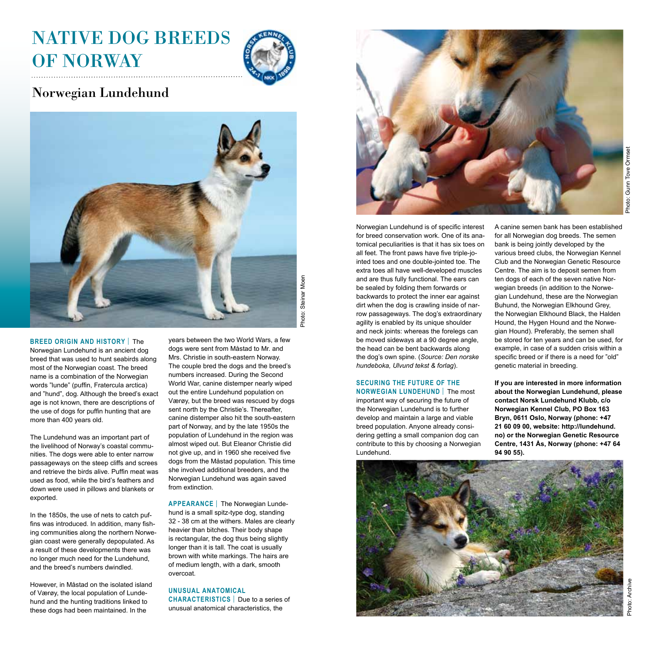

### Norwegian Lundehund



**BREED ORIGIN AND HISTORy** | The Norwegian Lundehund is an ancient dog breed that was used to hunt seabirds along most of the Norwegian coast. The breed name is a combination of the Norwegian words "lunde" (puffin, Fratercula arctica) and "hund", dog. Although the breed's exact age is not known, there are descriptions of the use of dogs for puffin hunting that are more than 400 years old.

The Lundehund was an important part of the livelihood of Norway's coastal communities. The dogs were able to enter narrow passageways on the steep cliffs and screes and retrieve the birds alive. Puffin meat was used as food, while the bird's feathers and down were used in pillows and blankets or exported.

In the 1850s, the use of nets to catch puffins was introduced. In addition, many fishing communities along the northern Norwegian coast were generally depopulated. As a result of these developments there was no longer much need for the Lundehund, and the breed's numbers dwindled.

However, in Måstad on the isolated island of Værøy, the local population of Lundehund and the hunting traditions linked to these dogs had been maintained. In the

years between the two World Wars, a few dogs were sent from Måstad to Mr. and Mrs. Christie in south-eastern Norway. The couple bred the dogs and the breed's numbers increased. During the Second World War, canine distemper nearly wiped out the entire Lundehund population on Værøy, but the breed was rescued by dogs sent north by the Christie's. Thereafter, canine distemper also hit the south-eastern part of Norway, and by the late 1950s the population of Lundehund in the region was almost wiped out. But Eleanor Christie did not give up, and in 1960 she received five dogs from the Måstad population. This time she involved additional breeders, and the Norwegian Lundehund was again saved from extinction.

**APPEARANCE** | The Norwegian Lundehund is a small spitz-type dog, standing 32 - 38 cm at the withers. Males are clearly heavier than bitches. Their body shape is rectangular, the dog thus being slightly longer than it is tall. The coat is usually brown with white markings. The hairs are of medium length, with a dark, smooth overcoat.

### **UNUSUAL ANATOMICAL**

**CHARACTERISTICS** | Due to a series of unusual anatomical characteristics, the



Norwegian Lundehund is of specific interest for breed conservation work. One of its anatomical peculiarities is that it has six toes on all feet. The front paws have five triple-jointed toes and one double-jointed toe. The extra toes all have well-developed muscles and are thus fully functional. The ears can be sealed by folding them forwards or backwards to protect the inner ear against dirt when the dog is crawling inside of narrow passageways. The dog's extraordinary agility is enabled by its unique shoulder and neck joints: whereas the forelegs can be moved sideways at a 90 degree angle, the head can be bent backwards along the dog's own spine. (*Source: Den norske hundeboka, Ulvund tekst & forlag*).

#### **Securing the future of the**

**Norwegian LUNDEHUND** | The most important way of securing the future of the Norwegian Lundehund is to further develop and maintain a large and viable breed population. Anyone already considering getting a small companion dog can contribute to this by choosing a Norwegian Lundehund.

A canine semen bank has been established for all Norwegian dog breeds. The semen bank is being jointly developed by the various breed clubs, the Norwegian Kennel Club and the Norwegian Genetic Resource Centre. The aim is to deposit semen from ten dogs of each of the seven native Norwegian breeds (in addition to the Norwegian Lundehund, these are the Norwegian Buhund, the Norwegian Elkhound Grey, the Norwegian Elkhound Black, the Halden Hound, the Hygen Hound and the Norwegian Hound). Preferably, the semen shall be stored for ten years and can be used, for example, in case of a sudden crisis within a specific breed or if there is a need for "old" genetic material in breeding.

**If you are interested in more information about the Norwegian Lundehund, please contact Norsk Lundehund Klubb, c/o Norwegian Kennel Club, PO Box 163 Bryn, 0611 Oslo, Norway (phone: +47 21 60 09 00, website: http://lundehund. no) or the Norwegian Genetic Resource Centre, 1431 Ås, Norway (phone: +47 64 94 90 55).**

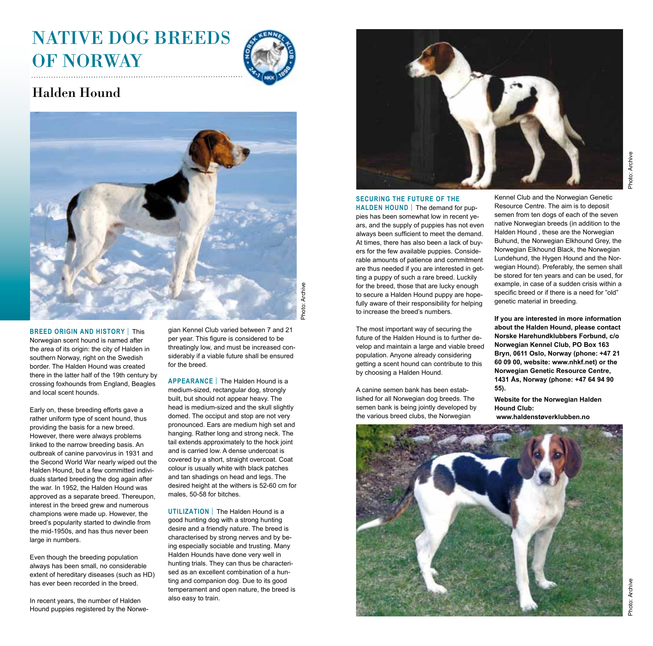

## Halden Hound



**BREED ORIGIN AND HISTORy** | This Norwegian scent hound is named after the area of its origin: the city of Halden in southern Norway, right on the Swedish border. The Halden Hound was created there in the latter half of the 19th century by crossing foxhounds from England, Beagles and local scent hounds.

Early on, these breeding efforts gave a rather uniform type of scent hound, thus providing the basis for a new breed. However, there were always problems linked to the narrow breeding basis. An outbreak of canine parvovirus in 1931 and the Second World War nearly wiped out the Halden Hound, but a few committed individuals started breeding the dog again after the war. In 1952, the Halden Hound was approved as a separate breed. Thereupon, interest in the breed grew and numerous champions were made up. However, the breed's popularity started to dwindle from the mid-1950s, and has thus never been large in numbers.

Even though the breeding population always has been small, no considerable extent of hereditary diseases (such as HD) has ever been recorded in the breed.

In recent years, the number of Halden Hound puppies registered by the Norwegian Kennel Club varied between 7 and 21 per year. This figure is considered to be threatingly low, and must be increased considerably if a viable future shall be ensured for the breed.

**APPEARANCE** | The Halden Hound is a medium-sized, rectangular dog, strongly built, but should not appear heavy. The head is medium-sized and the skull slightly domed. The occiput and stop are not very pronounced. Ears are medium high set and hanging. Rather long and strong neck. The tail extends approximately to the hock joint and is carried low. A dense undercoat is covered by a short, straight overcoat. Coat colour is usually white with black patches and tan shadings on head and legs. The desired height at the withers is 52-60 cm for males, 50-58 for bitches.

**UTILIZATION** | The Halden Hound is a good hunting dog with a strong hunting desire and a friendly nature. The breed is characterised by strong nerves and by being especially sociable and trusting. Many Halden Hounds have done very well in hunting trials. They can thus be characterised as an excellent combination of a hunting and companion dog. Due to its good temperament and open nature, the breed is also easy to train.



### **Securing the future of the**

**HALDEN HOUND** | The demand for puppies has been somewhat low in recent years, and the supply of puppies has not even always been sufficient to meet the demand. At times, there has also been a lack of buyers for the few available puppies. Considerable amounts of patience and commitment are thus needed if you are interested in getting a puppy of such a rare breed. Luckily for the breed, those that are lucky enough to secure a Halden Hound puppy are hopefully aware of their responsibility for helping to increase the breed's numbers.

The most important way of securing the future of the Halden Hound is to further develop and maintain a large and viable breed population. Anyone already considering getting a scent hound can contribute to this by choosing a Halden Hound.

A canine semen bank has been established for all Norwegian dog breeds. The semen bank is being jointly developed by the various breed clubs, the Norwegian

Kennel Club and the Norwegian Genetic Resource Centre. The aim is to deposit semen from ten dogs of each of the seven native Norwegian breeds (in addition to the Halden Hound , these are the Norwegian Buhund, the Norwegian Elkhound Grey, the Norwegian Elkhound Black, the Norwegian Lundehund, the Hygen Hound and the Norwegian Hound). Preferably, the semen shall be stored for ten years and can be used, for example, in case of a sudden crisis within a specific breed or if there is a need for "old" genetic material in breeding.

**If you are interested in more information about the Halden Hound, please contact Norske Harehundklubbers Forbund, c/o Norwegian Kennel Club, PO Box 163 Bryn, 0611 Oslo, Norway (phone: +47 21 60 09 00, website: www.nhkf.net) or the Norwegian Genetic Resource Centre, 1431 Ås, Norway (phone: +47 64 94 90 55).**

**Website for the Norwegian Halden Hound Club: www.haldenstøverklubben.no**

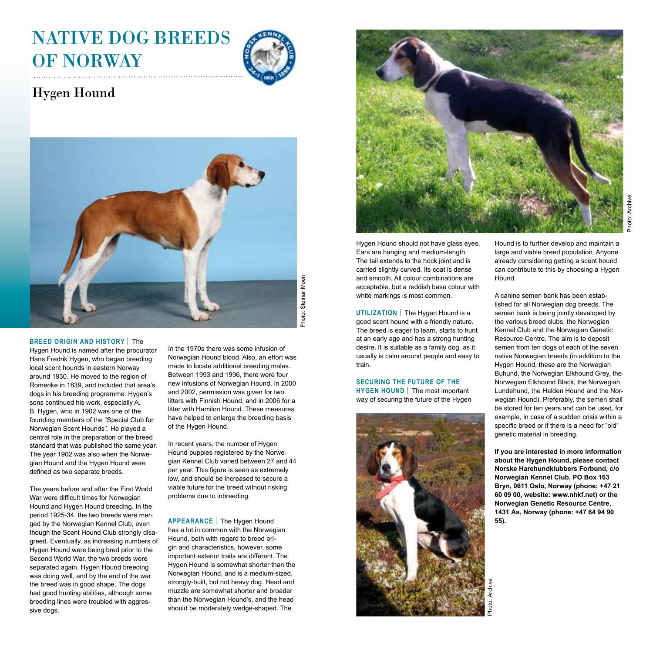

## Hygen Hound



Photo: Steinar Moen Photo: Steinar Moen

#### **BREED ORIGIN AND HISTORy** | The

Hygen Hound is named after the procurator Hans Fredrik Hygen, who began breeding local scent hounds in eastern Norway around 1930. He moved to the region of Romerike in 1839, and included that area's dogs in his breeding programme. Hygen's sons continued his work, especially A. B. Hygen, who in 1902 was one of the founding members of the "Special Club for Norwegian Scent Hounds". He played a central role in the preparation of the breed standard that was published the same year. The year 1902 was also when the Norwegian Hound and the Hygen Hound were defined as two separate breeds.

The years before and after the First World War were difficult times for Norwegian Hound and Hygen Hound breeding. In the period 1925-34, the two breeds were merged by the Norwegian Kennel Club, even though the Scent Hound Club strongly disagreed. Eventually, as increasing numbers of Hygen Hound were being bred prior to the Second World War, the two breeds were separated again. Hygen Hound breeding was doing well, and by the end of the war the breed was in good shape. The dogs had good hunting abilities, although some breeding lines were troubled with aggressive dogs.

In the 1970s there was some infusion of Norwegian Hound blood. Also, an effort was made to locate additional breeding males. Between 1993 and 1996, there were four new infusions of Norwegian Hound. In 2000 and 2002, permission was given for two litters with Finnish Hound, and in 2006 for a litter with Hamilon Hound. These measures have helped to enlarge the breeding basis of the Hygen Hound.

In recent years, the number of Hygen Hound puppies registered by the Norwegian Kennel Club varied between 27 and 44 per year. This figure is seen as extremely low, and should be increased to secure a viable future for the breed without risking problems due to inbreeding.

**APPEARANCE** | The Hygen Hound has a lot in common with the Norwegian Hound, both with regard to breed origin and characteristics, however, some important exterior traits are different. The Hygen Hound is somewhat shorter than the Norwegian Hound, and is a medium-sized, strongly-built, but not heavy dog. Head and muzzle are somewhat shorter and broader than the Norwegian Hound's, and the head should be moderately wedge-shaped. The



Photo: Archive

Hygen Hound should not have glass eyes. Ears are hanging and medium-length. The tail extends to the hock joint and is carried slightly curved. Its coat is dense and smooth. All colour combinations are acceptable, but a reddish base colour with white markings is most common.

**UTILIZATION** | The Hygen Hound is a good scent hound with a friendly nature. The breed is eager to learn, starts to hunt at an early age and has a strong hunting desire. It is suitable as a family dog, as it usually is calm around people and easy to train.

**Securing the future of the HYGEN HOUND** | The most important way of securing the future of the Hygen



Hound is to further develop and maintain a large and viable breed population. Anyone already considering getting a scent hound can contribute to this by choosing a Hygen Hound.

A canine semen bank has been established for all Norwegian dog breeds. The semen bank is being jointly developed by the various breed clubs, the Norwegian Kennel Club and the Norwegian Genetic Resource Centre. The aim is to deposit semen from ten dogs of each of the seven native Norwegian breeds (in addition to the Hygen Hound, these are the Norwegian Buhund, the Norwegian Elkhound Grey, the Norwegian Elkhound Black, the Norwegian Lundehund, the Halden Hound and the Norwegian Hound). Preferably, the semen shall be stored for ten years and can be used, for example, in case of a sudden crisis within a specific breed or if there is a need for "old" genetic material in breeding.

**If you are interested in more information about the Hygen Hound, please contact Norske Harehundklubbers Forbund, c/o Norwegian Kennel Club, PO Box 163 Bryn, 0611 Oslo, Norway (phone: +47 21 60 09 00, website: www.nhkf.net) or the Norwegian Genetic Resource Centre, 1431 Ås, Norway (phone: +47 64 94 90 55).**

Photo: Archive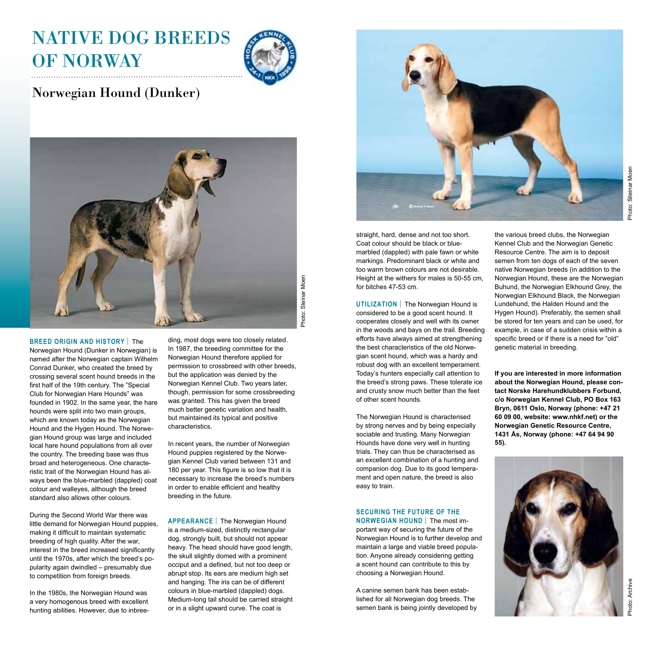

## Norwegian Hound (Dunker)



#### **BREED ORIGIN AND HISTORy** | The

Norwegian Hound (Dunker in Norwegian) is named after the Norwegian captain Wilhelm Conrad Dunker, who created the breed by crossing several scent hound breeds in the first half of the 19th century. The "Special Club for Norwegian Hare Hounds" was founded in 1902. In the same year, the hare hounds were split into two main groups, which are known today as the Norwegian Hound and the Hygen Hound. The Norwegian Hound group was large and included local hare hound populations from all over the country. The breeding base was thus broad and heterogeneous. One characteristic trait of the Norwegian Hound has always been the blue-marbled (dappled) coat colour and walleyes, although the breed standard also allows other colours.

During the Second World War there was little demand for Norwegian Hound puppies, making it difficult to maintain systematic breeding of high quality. After the war, interest in the breed increased significantly until the 1970s, after which the breed's popularity again dwindled – presumably due to competition from foreign breeds.

In the 1980s, the Norwegian Hound was a very homogenous breed with excellent hunting abilities. However, due to inbreeding, most dogs were too closely related. In 1987, the breeding committee for the Norwegian Hound therefore applied for permission to crossbreed with other breeds, but the application was denied by the Norwegian Kennel Club. Two years later, though, permission for some crossbreeding was granted. This has given the breed much better genetic variation and health, but maintained its typical and positive characteristics.

In recent years, the number of Norwegian Hound puppies registered by the Norwegian Kennel Club varied between 131 and 180 per year. This figure is so low that it is necessary to increase the breed's numbers in order to enable efficient and healthy breeding in the future.

**APPEARANCE** | The Norwegian Hound is a medium-sized, distinctly rectangular dog, strongly built, but should not appear heavy. The head should have good length, the skull slightly domed with a prominent occiput and a defined, but not too deep or abrupt stop. Its ears are medium high set and hanging. The iris can be of different colours in blue-marbled (dappled) dogs. Medium-long tail should be carried straight or in a slight upward curve. The coat is



straight, hard, dense and not too short. Coat colour should be black or bluemarbled (dappled) with pale fawn or white markings. Predominant black or white and too warm brown colours are not desirable. Height at the withers for males is 50-55 cm, for bitches 47-53 cm.

**UTILIZATION** | The Norwegian Hound is considered to be a good scent hound. It cooperates closely and well with its owner in the woods and bays on the trail. Breeding efforts have always aimed at strengthening the best characteristics of the old Norwegian scent hound, which was a hardy and robust dog with an excellent temperament. Today's hunters especially call attention to the breed's strong paws. These tolerate ice and crusty snow much better than the feet of other scent hounds.

The Norwegian Hound is characterised by strong nerves and by being especially sociable and trusting. Many Norwegian Hounds have done very well in hunting trials. They can thus be characterised as an excellent combination of a hunting and companion dog. Due to its good temperament and open nature, the breed is also easy to train.

### **Securing the future of the**

**NORWEGIAN HOUND** | The most important way of securing the future of the Norwegian Hound is to further develop and maintain a large and viable breed population. Anyone already considering getting a scent hound can contribute to this by choosing a Norwegian Hound.

A canine semen bank has been established for all Norwegian dog breeds. The semen bank is being jointly developed by the various breed clubs, the Norwegian Kennel Club and the Norwegian Genetic Resource Centre. The aim is to deposit semen from ten dogs of each of the seven native Norwegian breeds (in addition to the Norwegian Hound, these are the Norwegian Buhund, the Norwegian Elkhound Grey, the Norwegian Elkhound Black, the Norwegian Lundehund, the Halden Hound and the Hygen Hound). Preferably, the semen shall be stored for ten years and can be used, for example, in case of a sudden crisis within a specific breed or if there is a need for "old" genetic material in breeding.

**If you are interested in more information about the Norwegian Hound, please contact Norske Harehundklubbers Forbund, c/o Norwegian Kennel Club, PO Box 163 Bryn, 0611 Oslo, Norway (phone: +47 21 60 09 00, website: www.nhkf.net) or the Norwegian Genetic Resource Centre, 1431 Ås, Norway (phone: +47 64 94 90 55).**